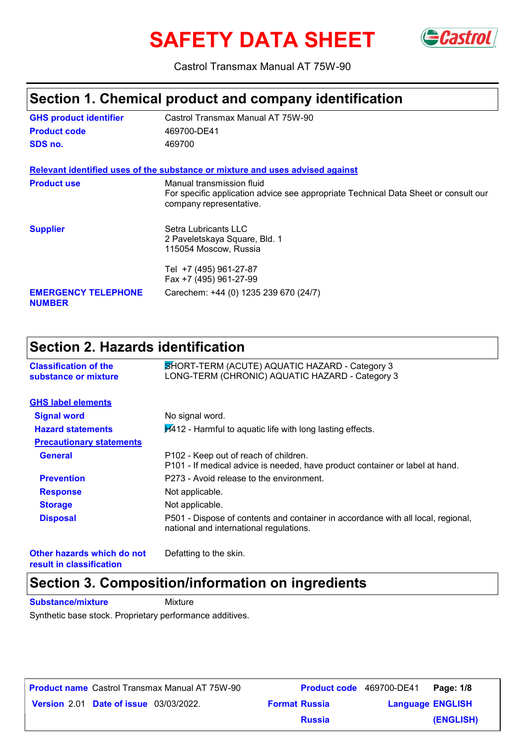# **SAFETY DATA SHEET**



Castrol Transmax Manual AT 75W-90

### **Section 1. Chemical product and company identification**

| <b>GHS product identifier</b>               | Castrol Transmax Manual AT 75W-90                                                                                                           |
|---------------------------------------------|---------------------------------------------------------------------------------------------------------------------------------------------|
| <b>Product code</b>                         | 469700-DE41                                                                                                                                 |
| SDS no.                                     | 469700                                                                                                                                      |
|                                             | Relevant identified uses of the substance or mixture and uses advised against                                                               |
| <b>Product use</b>                          | Manual transmission fluid<br>For specific application advice see appropriate Technical Data Sheet or consult our<br>company representative. |
| <b>Supplier</b>                             | Setra Lubricants LLC<br>2 Paveletskaya Square, Bld. 1<br>115054 Moscow, Russia                                                              |
|                                             | Tel +7 (495) 961-27-87<br>Fax +7 (495) 961-27-99                                                                                            |
| <b>EMERGENCY TELEPHONE</b><br><b>NUMBER</b> | Carechem: +44 (0) 1235 239 670 (24/7)                                                                                                       |

### **Section 2. Hazards identification**

| <b>Classification of the</b><br>substance or mixture | SHORT-TERM (ACUTE) AQUATIC HAZARD - Category 3<br>LONG-TERM (CHRONIC) AQUATIC HAZARD - Category 3                           |
|------------------------------------------------------|-----------------------------------------------------------------------------------------------------------------------------|
| <b>GHS label elements</b>                            |                                                                                                                             |
| <b>Signal word</b>                                   | No signal word.                                                                                                             |
| <b>Hazard statements</b>                             | $H412$ - Harmful to aquatic life with long lasting effects.                                                                 |
| <b>Precautionary statements</b>                      |                                                                                                                             |
| <b>General</b>                                       | P102 - Keep out of reach of children.<br>P101 - If medical advice is needed, have product container or label at hand.       |
| <b>Prevention</b>                                    | P273 - Avoid release to the environment.                                                                                    |
| <b>Response</b>                                      | Not applicable.                                                                                                             |
| <b>Storage</b>                                       | Not applicable.                                                                                                             |
| <b>Disposal</b>                                      | P501 - Dispose of contents and container in accordance with all local, regional,<br>national and international regulations. |
| Other hazards which do not                           | Defatting to the skin.                                                                                                      |

**result in classification**

Defatting to the skin.

### **Section 3. Composition/information on ingredients**

**Substance/mixture** Mixture

Synthetic base stock. Proprietary performance additives.

**Date of issue** 03/03/2022. **Version** 2.01 **Format Russia Language Product name** Castrol Transmax Manual AT 75W-90 **Product code** 469700-DE41 **Page: 1/8** | **Language ENGLISH (ENGLISH) Product code** 469700-DE41 Page: 1/8 **Russia**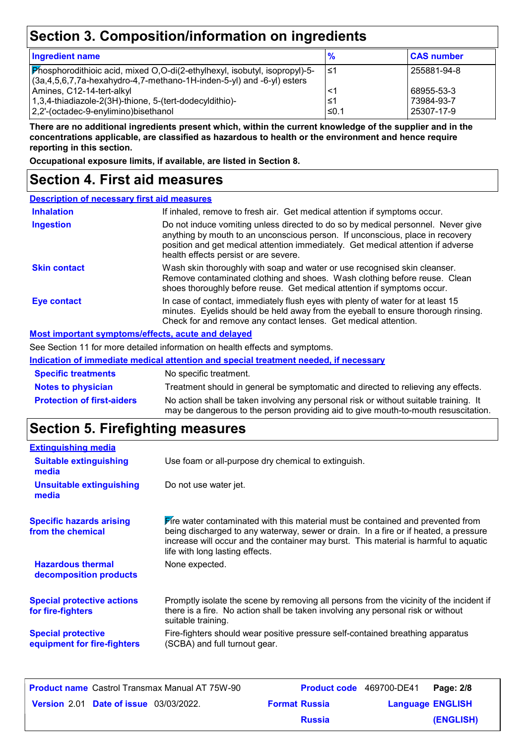## **Section 3. Composition/information on ingredients**

| <b>Ingredient name</b>                                                                                                                                 | $\frac{9}{6}$ | <b>CAS number</b> |
|--------------------------------------------------------------------------------------------------------------------------------------------------------|---------------|-------------------|
| Phosphorodithioic acid, mixed O,O-di(2-ethylhexyl, isobutyl, isopropyl)-5-<br>$(3a,4,5,6,7,7a$ -hexahydro-4,7-methano-1H-inden-5-yl) and -6-yl) esters | ึ ≤1          | 255881-94-8       |
| Amines, C12-14-tert-alkyl                                                                                                                              | <1            | 68955-53-3        |
| 1,3,4-thiadiazole-2(3H)-thione, 5-(tert-dodecyldithio)-                                                                                                | ≤1            | 73984-93-7        |
| 2,2'-(octadec-9-enylimino)bisethanol                                                                                                                   | $≤0.1$        | 25307-17-9        |

**There are no additional ingredients present which, within the current knowledge of the supplier and in the concentrations applicable, are classified as hazardous to health or the environment and hence require reporting in this section.**

**Occupational exposure limits, if available, are listed in Section 8.**

### **Section 4. First aid measures**

| <b>Description of necessary first aid measures</b> |                                                                                                                                                                                                                                                                                                |  |
|----------------------------------------------------|------------------------------------------------------------------------------------------------------------------------------------------------------------------------------------------------------------------------------------------------------------------------------------------------|--|
| <b>Inhalation</b>                                  | If inhaled, remove to fresh air. Get medical attention if symptoms occur.                                                                                                                                                                                                                      |  |
| <b>Ingestion</b>                                   | Do not induce vomiting unless directed to do so by medical personnel. Never give<br>anything by mouth to an unconscious person. If unconscious, place in recovery<br>position and get medical attention immediately. Get medical attention if adverse<br>health effects persist or are severe. |  |
| <b>Skin contact</b>                                | Wash skin thoroughly with soap and water or use recognised skin cleanser.<br>Remove contaminated clothing and shoes. Wash clothing before reuse. Clean<br>shoes thoroughly before reuse. Get medical attention if symptoms occur.                                                              |  |
| <b>Eye contact</b>                                 | In case of contact, immediately flush eyes with plenty of water for at least 15<br>minutes. Eyelids should be held away from the eyeball to ensure thorough rinsing.<br>Check for and remove any contact lenses. Get medical attention.                                                        |  |
|                                                    | Most important symptoms/effects, acute and delayed                                                                                                                                                                                                                                             |  |
|                                                    |                                                                                                                                                                                                                                                                                                |  |

See Section 11 for more detailed information on health effects and symptoms.

|                                   | Indication of immediate medical attention and special treatment needed, if necessary                                                                                        |
|-----------------------------------|-----------------------------------------------------------------------------------------------------------------------------------------------------------------------------|
| <b>Specific treatments</b>        | No specific treatment.                                                                                                                                                      |
| <b>Notes to physician</b>         | Treatment should in general be symptomatic and directed to relieving any effects.                                                                                           |
| <b>Protection of first-aiders</b> | No action shall be taken involving any personal risk or without suitable training. It<br>may be dangerous to the person providing aid to give mouth-to-mouth resuscitation. |

### **Section 5. Firefighting measures**

| <b>Extinguishing media</b>                               |                                                                                                                                                                                                                                                                                                           |
|----------------------------------------------------------|-----------------------------------------------------------------------------------------------------------------------------------------------------------------------------------------------------------------------------------------------------------------------------------------------------------|
| <b>Suitable extinguishing</b><br>media                   | Use foam or all-purpose dry chemical to extinguish.                                                                                                                                                                                                                                                       |
| <b>Unsuitable extinguishing</b><br>media                 | Do not use water jet.                                                                                                                                                                                                                                                                                     |
| <b>Specific hazards arising</b><br>from the chemical     | <b>Fire water contaminated with this material must be contained and prevented from</b><br>being discharged to any waterway, sewer or drain. In a fire or if heated, a pressure<br>increase will occur and the container may burst. This material is harmful to aquatic<br>life with long lasting effects. |
| <b>Hazardous thermal</b><br>decomposition products       | None expected.                                                                                                                                                                                                                                                                                            |
| <b>Special protective actions</b><br>for fire-fighters   | Promptly isolate the scene by removing all persons from the vicinity of the incident if<br>there is a fire. No action shall be taken involving any personal risk or without<br>suitable training.                                                                                                         |
| <b>Special protective</b><br>equipment for fire-fighters | Fire-fighters should wear positive pressure self-contained breathing apparatus<br>(SCBA) and full turnout gear.                                                                                                                                                                                           |
|                                                          |                                                                                                                                                                                                                                                                                                           |

| <b>Product name</b> Castrol Transmax Manual AT 75W-90 |                      | <b>Product code</b> 469700-DE41 | Page: 2/8 |
|-------------------------------------------------------|----------------------|---------------------------------|-----------|
| <b>Version 2.01 Date of issue 03/03/2022.</b>         | <b>Format Russia</b> | <b>Language ENGLISH</b>         |           |
|                                                       | <b>Russia</b>        |                                 | (ENGLISH) |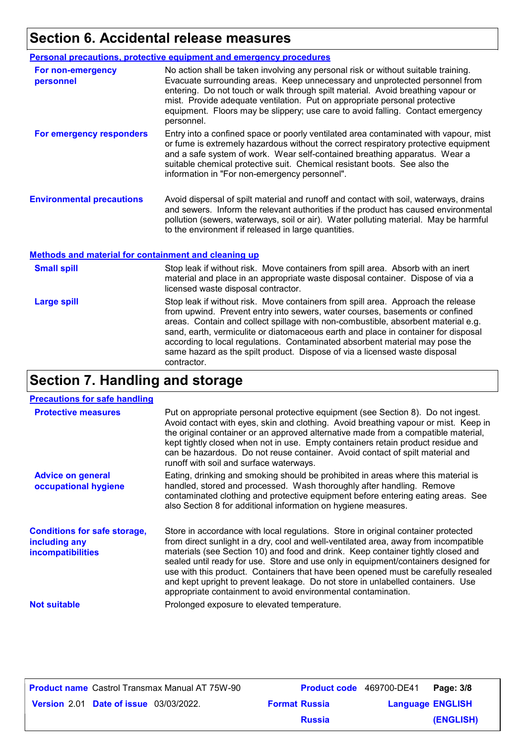### **Section 6. Accidental release measures**

|                                  | Personal precautions, protective equipment and emergency procedures                                                                                                                                                                                                                                                                                                                                                                  |
|----------------------------------|--------------------------------------------------------------------------------------------------------------------------------------------------------------------------------------------------------------------------------------------------------------------------------------------------------------------------------------------------------------------------------------------------------------------------------------|
| For non-emergency<br>personnel   | No action shall be taken involving any personal risk or without suitable training.<br>Evacuate surrounding areas. Keep unnecessary and unprotected personnel from<br>entering. Do not touch or walk through spilt material. Avoid breathing vapour or<br>mist. Provide adequate ventilation. Put on appropriate personal protective<br>equipment. Floors may be slippery; use care to avoid falling. Contact emergency<br>personnel. |
| For emergency responders         | Entry into a confined space or poorly ventilated area contaminated with vapour, mist<br>or fume is extremely hazardous without the correct respiratory protective equipment<br>and a safe system of work. Wear self-contained breathing apparatus. Wear a<br>suitable chemical protective suit. Chemical resistant boots. See also the<br>information in "For non-emergency personnel".                                              |
| <b>Environmental precautions</b> | Avoid dispersal of spilt material and runoff and contact with soil, waterways, drains<br>and sewers. Inform the relevant authorities if the product has caused environmental<br>pollution (sewers, waterways, soil or air). Water polluting material. May be harmful<br>to the environment if released in large quantities.                                                                                                          |

#### **Methods and material for containment and cleaning up**

| <b>Small spill</b> | Stop leak if without risk. Move containers from spill area. Absorb with an inert<br>material and place in an appropriate waste disposal container. Dispose of via a<br>licensed waste disposal contractor.                                                                                                                                                                                                                                                                                                               |
|--------------------|--------------------------------------------------------------------------------------------------------------------------------------------------------------------------------------------------------------------------------------------------------------------------------------------------------------------------------------------------------------------------------------------------------------------------------------------------------------------------------------------------------------------------|
| <b>Large spill</b> | Stop leak if without risk. Move containers from spill area. Approach the release<br>from upwind. Prevent entry into sewers, water courses, basements or confined<br>areas. Contain and collect spillage with non-combustible, absorbent material e.g.<br>sand, earth, vermiculite or diatomaceous earth and place in container for disposal<br>according to local regulations. Contaminated absorbent material may pose the<br>same hazard as the spilt product. Dispose of via a licensed waste disposal<br>contractor. |

## **Section 7. Handling and storage**

| <b>Precautions for safe handling</b>                                             |                                                                                                                                                                                                                                                                                                                                                                                                                                                                                                                                                                                                |
|----------------------------------------------------------------------------------|------------------------------------------------------------------------------------------------------------------------------------------------------------------------------------------------------------------------------------------------------------------------------------------------------------------------------------------------------------------------------------------------------------------------------------------------------------------------------------------------------------------------------------------------------------------------------------------------|
| <b>Protective measures</b>                                                       | Put on appropriate personal protective equipment (see Section 8). Do not ingest.<br>Avoid contact with eyes, skin and clothing. Avoid breathing vapour or mist. Keep in<br>the original container or an approved alternative made from a compatible material,<br>kept tightly closed when not in use. Empty containers retain product residue and<br>can be hazardous. Do not reuse container. Avoid contact of spilt material and<br>runoff with soil and surface waterways.                                                                                                                  |
| <b>Advice on general</b><br>occupational hygiene                                 | Eating, drinking and smoking should be prohibited in areas where this material is<br>handled, stored and processed. Wash thoroughly after handling. Remove<br>contaminated clothing and protective equipment before entering eating areas. See<br>also Section 8 for additional information on hygiene measures.                                                                                                                                                                                                                                                                               |
| <b>Conditions for safe storage,</b><br>including any<br><b>incompatibilities</b> | Store in accordance with local regulations. Store in original container protected<br>from direct sunlight in a dry, cool and well-ventilated area, away from incompatible<br>materials (see Section 10) and food and drink. Keep container tightly closed and<br>sealed until ready for use. Store and use only in equipment/containers designed for<br>use with this product. Containers that have been opened must be carefully resealed<br>and kept upright to prevent leakage. Do not store in unlabelled containers. Use<br>appropriate containment to avoid environmental contamination. |
| <b>Not suitable</b>                                                              | Prolonged exposure to elevated temperature.                                                                                                                                                                                                                                                                                                                                                                                                                                                                                                                                                    |

| <b>Product name</b> Castrol Transmax Manual AT 75W-90 |                      | Product code 469700-DE41 | Page: 3/8 |
|-------------------------------------------------------|----------------------|--------------------------|-----------|
| <b>Version 2.01 Date of issue 03/03/2022.</b>         | <b>Format Russia</b> | <b>Language ENGLISH</b>  |           |
|                                                       | <b>Russia</b>        |                          | (ENGLISH) |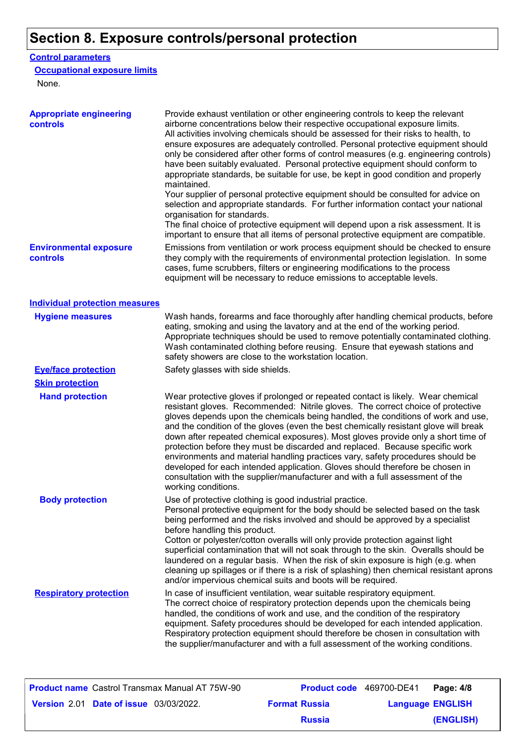## **Section 8. Exposure controls/personal protection**

### **Control parameters**

### **Occupational exposure limits**

None.

| <b>Appropriate engineering</b><br>controls | Provide exhaust ventilation or other engineering controls to keep the relevant<br>airborne concentrations below their respective occupational exposure limits.<br>All activities involving chemicals should be assessed for their risks to health, to<br>ensure exposures are adequately controlled. Personal protective equipment should<br>only be considered after other forms of control measures (e.g. engineering controls)<br>have been suitably evaluated. Personal protective equipment should conform to<br>appropriate standards, be suitable for use, be kept in good condition and properly<br>maintained.<br>Your supplier of personal protective equipment should be consulted for advice on<br>selection and appropriate standards. For further information contact your national<br>organisation for standards.<br>The final choice of protective equipment will depend upon a risk assessment. It is<br>important to ensure that all items of personal protective equipment are compatible. |
|--------------------------------------------|---------------------------------------------------------------------------------------------------------------------------------------------------------------------------------------------------------------------------------------------------------------------------------------------------------------------------------------------------------------------------------------------------------------------------------------------------------------------------------------------------------------------------------------------------------------------------------------------------------------------------------------------------------------------------------------------------------------------------------------------------------------------------------------------------------------------------------------------------------------------------------------------------------------------------------------------------------------------------------------------------------------|
| <b>Environmental exposure</b><br>controls  | Emissions from ventilation or work process equipment should be checked to ensure<br>they comply with the requirements of environmental protection legislation. In some<br>cases, fume scrubbers, filters or engineering modifications to the process<br>equipment will be necessary to reduce emissions to acceptable levels.                                                                                                                                                                                                                                                                                                                                                                                                                                                                                                                                                                                                                                                                                 |
| <b>Individual protection measures</b>      |                                                                                                                                                                                                                                                                                                                                                                                                                                                                                                                                                                                                                                                                                                                                                                                                                                                                                                                                                                                                               |
| <b>Hygiene measures</b>                    | Wash hands, forearms and face thoroughly after handling chemical products, before<br>eating, smoking and using the lavatory and at the end of the working period.<br>Appropriate techniques should be used to remove potentially contaminated clothing.<br>Wash contaminated clothing before reusing. Ensure that eyewash stations and<br>safety showers are close to the workstation location.                                                                                                                                                                                                                                                                                                                                                                                                                                                                                                                                                                                                               |
| <b>Eye/face protection</b>                 | Safety glasses with side shields.                                                                                                                                                                                                                                                                                                                                                                                                                                                                                                                                                                                                                                                                                                                                                                                                                                                                                                                                                                             |
| <b>Skin protection</b>                     |                                                                                                                                                                                                                                                                                                                                                                                                                                                                                                                                                                                                                                                                                                                                                                                                                                                                                                                                                                                                               |
| <b>Hand protection</b>                     | Wear protective gloves if prolonged or repeated contact is likely. Wear chemical<br>resistant gloves. Recommended: Nitrile gloves. The correct choice of protective<br>gloves depends upon the chemicals being handled, the conditions of work and use,<br>and the condition of the gloves (even the best chemically resistant glove will break<br>down after repeated chemical exposures). Most gloves provide only a short time of<br>protection before they must be discarded and replaced. Because specific work<br>environments and material handling practices vary, safety procedures should be<br>developed for each intended application. Gloves should therefore be chosen in<br>consultation with the supplier/manufacturer and with a full assessment of the<br>working conditions.                                                                                                                                                                                                               |
| <b>Body protection</b>                     | Use of protective clothing is good industrial practice.<br>Personal protective equipment for the body should be selected based on the task<br>being performed and the risks involved and should be approved by a specialist<br>before handling this product.<br>Cotton or polyester/cotton overalls will only provide protection against light<br>superficial contamination that will not soak through to the skin. Overalls should be<br>laundered on a regular basis. When the risk of skin exposure is high (e.g. when<br>cleaning up spillages or if there is a risk of splashing) then chemical resistant aprons<br>and/or impervious chemical suits and boots will be required.                                                                                                                                                                                                                                                                                                                         |
| <b>Respiratory protection</b>              | In case of insufficient ventilation, wear suitable respiratory equipment.<br>The correct choice of respiratory protection depends upon the chemicals being<br>handled, the conditions of work and use, and the condition of the respiratory<br>equipment. Safety procedures should be developed for each intended application.<br>Respiratory protection equipment should therefore be chosen in consultation with<br>the supplier/manufacturer and with a full assessment of the working conditions.                                                                                                                                                                                                                                                                                                                                                                                                                                                                                                         |

| <b>Product name</b> Castrol Transmax Manual AT 75W-90 |                      | <b>Product code</b> 469700-DE41 Page: 4/8 |                         |           |
|-------------------------------------------------------|----------------------|-------------------------------------------|-------------------------|-----------|
| <b>Version 2.01 Date of issue 03/03/2022.</b>         | <b>Format Russia</b> |                                           | <b>Language ENGLISH</b> |           |
|                                                       |                      | <b>Russia</b>                             |                         | (ENGLISH) |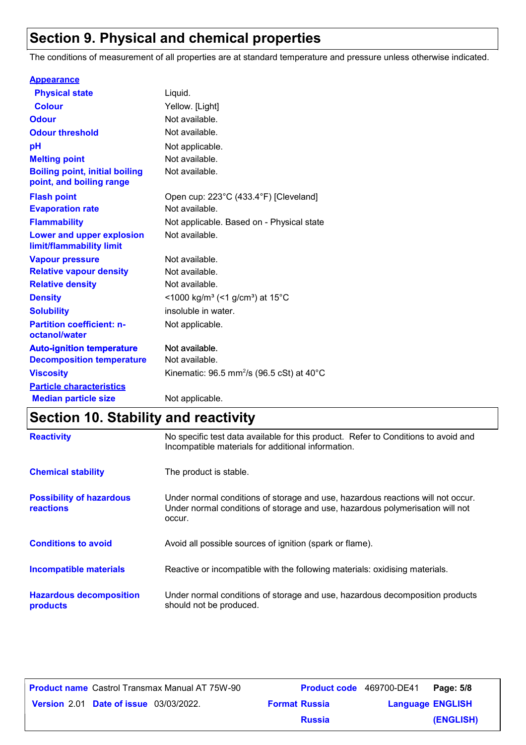### **Section 9. Physical and chemical properties**

The conditions of measurement of all properties are at standard temperature and pressure unless otherwise indicated.

| <b>Appearance</b>                                                 |                                                                      |
|-------------------------------------------------------------------|----------------------------------------------------------------------|
| <b>Physical state</b>                                             | Liquid.                                                              |
| <b>Colour</b>                                                     | Yellow. [Light]                                                      |
| <b>Odour</b>                                                      | Not available.                                                       |
| <b>Odour threshold</b>                                            | Not available.                                                       |
| рH                                                                | Not applicable.                                                      |
| <b>Melting point</b>                                              | Not available.                                                       |
| <b>Boiling point, initial boiling</b><br>point, and boiling range | Not available.                                                       |
| <b>Flash point</b>                                                | Open cup: 223°C (433.4°F) [Cleveland]                                |
| <b>Evaporation rate</b>                                           | Not available.                                                       |
| <b>Flammability</b>                                               | Not applicable. Based on - Physical state                            |
| <b>Lower and upper explosion</b><br>limit/flammability limit      | Not available.                                                       |
| <b>Vapour pressure</b>                                            | Not available.                                                       |
| <b>Relative vapour density</b>                                    | Not available.                                                       |
| <b>Relative density</b>                                           | Not available.                                                       |
| <b>Density</b>                                                    | <1000 kg/m <sup>3</sup> (<1 g/cm <sup>3</sup> ) at 15 <sup>°</sup> C |
| <b>Solubility</b>                                                 | insoluble in water.                                                  |
| <b>Partition coefficient: n-</b><br>octanol/water                 | Not applicable.                                                      |
| <b>Auto-ignition temperature</b>                                  | Not available.                                                       |
| <b>Decomposition temperature</b>                                  | Not available.                                                       |
| <b>Viscosity</b>                                                  | Kinematic: $96.5$ mm <sup>2</sup> /s ( $96.5$ cSt) at $40^{\circ}$ C |
| <b>Particle characteristics</b>                                   |                                                                      |
| <b>Median particle size</b>                                       | Not applicable.                                                      |

## **Section 10. Stability and reactivity**

| <b>Reactivity</b>                                   | No specific test data available for this product. Refer to Conditions to avoid and<br>Incompatible materials for additional information.                                   |
|-----------------------------------------------------|----------------------------------------------------------------------------------------------------------------------------------------------------------------------------|
| <b>Chemical stability</b>                           | The product is stable.                                                                                                                                                     |
| <b>Possibility of hazardous</b><br><b>reactions</b> | Under normal conditions of storage and use, hazardous reactions will not occur.<br>Under normal conditions of storage and use, hazardous polymerisation will not<br>occur. |
| <b>Conditions to avoid</b>                          | Avoid all possible sources of ignition (spark or flame).                                                                                                                   |
| Incompatible materials                              | Reactive or incompatible with the following materials: oxidising materials.                                                                                                |
| <b>Hazardous decomposition</b><br>products          | Under normal conditions of storage and use, hazardous decomposition products<br>should not be produced.                                                                    |

|                                               | <b>Product name</b> Castrol Transmax Manual AT 75W-90 |                      | <b>Product code</b> 469700-DE41 | Page: 5/8 |
|-----------------------------------------------|-------------------------------------------------------|----------------------|---------------------------------|-----------|
| <b>Version 2.01 Date of issue 03/03/2022.</b> |                                                       | <b>Format Russia</b> | <b>Language ENGLISH</b>         |           |
|                                               |                                                       | <b>Russia</b>        |                                 | (ENGLISH) |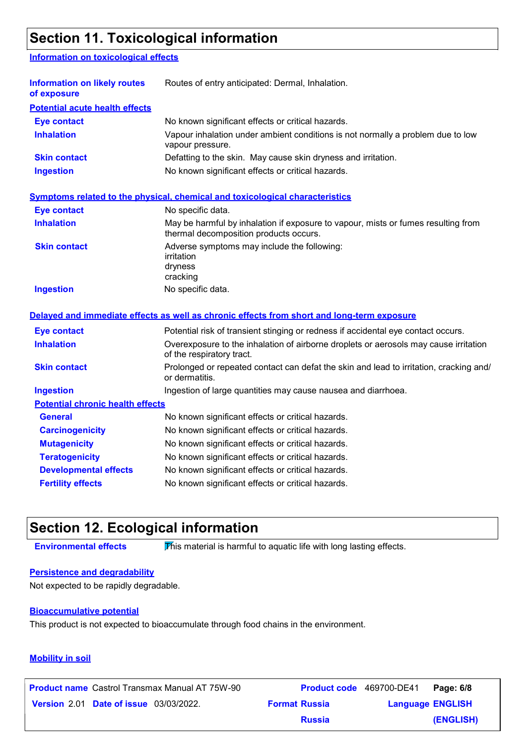### **Section 11. Toxicological information**

#### **Information on toxicological effects**

| <b>Information on likely routes</b><br>of exposure | Routes of entry anticipated: Dermal, Inhalation.                                                                            |
|----------------------------------------------------|-----------------------------------------------------------------------------------------------------------------------------|
| <b>Potential acute health effects</b>              |                                                                                                                             |
| <b>Eye contact</b>                                 | No known significant effects or critical hazards.                                                                           |
| <b>Inhalation</b>                                  | Vapour inhalation under ambient conditions is not normally a problem due to low<br>vapour pressure.                         |
| <b>Skin contact</b>                                | Defatting to the skin. May cause skin dryness and irritation.                                                               |
| <b>Ingestion</b>                                   | No known significant effects or critical hazards.                                                                           |
|                                                    | <b>Symptoms related to the physical, chemical and toxicological characteristics</b>                                         |
| <b>Eye contact</b>                                 | No specific data.                                                                                                           |
| <b>Inhalation</b>                                  | May be harmful by inhalation if exposure to vapour, mists or fumes resulting from<br>thermal decomposition products occurs. |
| <b>Skin contact</b>                                | Adverse symptoms may include the following:<br>irritation<br>dryness<br>cracking                                            |
| <b>Ingestion</b>                                   | No specific data.                                                                                                           |
|                                                    | Delayed and immediate effects as well as chronic effects from short and long-term exposure                                  |
| <b>Eye contact</b>                                 | Potential risk of transient stinging or redness if accidental eye contact occurs.                                           |
| <b>Inhalation</b>                                  | Overexposure to the inhalation of airborne droplets or aerosols may cause irritation<br>of the respiratory tract.           |
| <b>Skin contact</b>                                | Prolonged or repeated contact can defat the skin and lead to irritation, cracking and/<br>or dermatitis.                    |
| <b>Ingestion</b>                                   | Ingestion of large quantities may cause nausea and diarrhoea.                                                               |
| <b>Potential chronic health effects</b>            |                                                                                                                             |
| <b>General</b>                                     | No known significant effects or critical hazards.                                                                           |
| <b>Carcinogenicity</b>                             | No known significant effects or critical hazards.                                                                           |
| <b>Mutagenicity</b>                                | No known significant effects or critical hazards.                                                                           |
| <b>Teratogenicity</b>                              | No known significant effects or critical hazards.                                                                           |
| <b>Developmental effects</b>                       | No known significant effects or critical hazards.                                                                           |
| <b>Fertility effects</b>                           | No known significant effects or critical hazards.                                                                           |

### **Section 12. Ecological information**

**Environmental effects** This material is harmful to aquatic life with long lasting effects.

#### **Persistence and degradability**

Not expected to be rapidly degradable.

#### **Bioaccumulative potential**

This product is not expected to bioaccumulate through food chains in the environment.

#### **Mobility in soil**

**Date of issue** 03/03/2022. **Version** 2.01 **Format Russia Language Product name** Castrol Transmax Manual AT 75W-90 **Product code** 469700-DE41 **Page: 6/8** | **Language ENGLISH (ENGLISH) Product code** 469700-DE41 **Page: 6/8 Russia**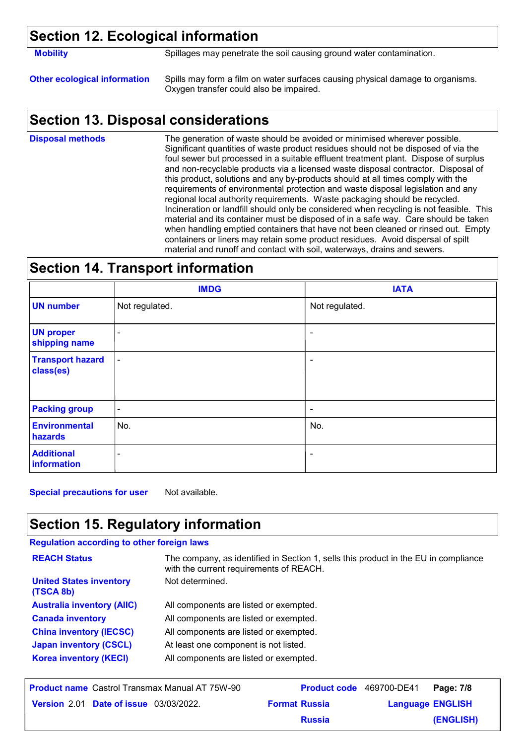### **Section 12. Ecological information**

**Mobility** Spillages may penetrate the soil causing ground water contamination.

**Other ecological information** Spills may form a film on water surfaces causing physical damage to organisms. Oxygen transfer could also be impaired.

### **Section 13. Disposal considerations**

The generation of waste should be avoided or minimised wherever possible. Significant quantities of waste product residues should not be disposed of via the foul sewer but processed in a suitable effluent treatment plant. Dispose of surplus and non-recyclable products via a licensed waste disposal contractor. Disposal of this product, solutions and any by-products should at all times comply with the requirements of environmental protection and waste disposal legislation and any regional local authority requirements. Waste packaging should be recycled. Incineration or landfill should only be considered when recycling is not feasible. This material and its container must be disposed of in a safe way. Care should be taken when handling emptied containers that have not been cleaned or rinsed out. Empty containers or liners may retain some product residues. Avoid dispersal of spilt material and runoff and contact with soil, waterways, drains and sewers. **Disposal methods**

### **Section 14. Transport information**

|                                      | <b>IMDG</b>    | <b>IATA</b>              |
|--------------------------------------|----------------|--------------------------|
| <b>UN number</b>                     | Not regulated. | Not regulated.           |
| <b>UN proper</b><br>shipping name    | $\sim$         | ٠                        |
| <b>Transport hazard</b><br>class(es) | $\blacksquare$ | ٠                        |
| <b>Packing group</b>                 | $\blacksquare$ | $\overline{\phantom{a}}$ |
| <b>Environmental</b><br>hazards      | No.            | No.                      |
| <b>Additional</b><br>information     | -              |                          |

**Special precautions for user** Not available.

### **Section 15. Regulatory information**

#### **Regulation according to other foreign laws**

| <b>REACH Status</b>                         | The company, as identified in Section 1, sells this product in the EU in compliance<br>with the current requirements of REACH. |
|---------------------------------------------|--------------------------------------------------------------------------------------------------------------------------------|
| <b>United States inventory</b><br>(TSCA 8b) | Not determined.                                                                                                                |
| <b>Australia inventory (AIIC)</b>           | All components are listed or exempted.                                                                                         |
| <b>Canada inventory</b>                     | All components are listed or exempted.                                                                                         |
| <b>China inventory (IECSC)</b>              | All components are listed or exempted.                                                                                         |
| <b>Japan inventory (CSCL)</b>               | At least one component is not listed.                                                                                          |
| <b>Korea inventory (KECI)</b>               | All components are listed or exempted.                                                                                         |
|                                             |                                                                                                                                |

| <b>Product name</b> Castrol Transmax Manual AT 75W-90 |                      | <b>Product code</b> 469700-DE41 | Page: 7/8 |
|-------------------------------------------------------|----------------------|---------------------------------|-----------|
| <b>Version 2.01 Date of issue 03/03/2022.</b>         | <b>Format Russia</b> | <b>Language ENGLISH</b>         |           |
|                                                       | <b>Russia</b>        |                                 | (ENGLISH) |